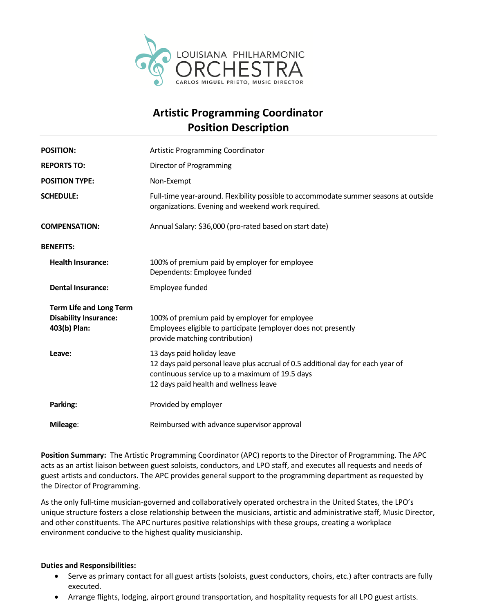

## **Artistic Programming Coordinator Position Description**

| <b>POSITION:</b>                                                               | <b>Artistic Programming Coordinator</b>                                                                                                                                                                    |
|--------------------------------------------------------------------------------|------------------------------------------------------------------------------------------------------------------------------------------------------------------------------------------------------------|
| <b>REPORTS TO:</b>                                                             | Director of Programming                                                                                                                                                                                    |
| <b>POSITION TYPE:</b>                                                          | Non-Exempt                                                                                                                                                                                                 |
| <b>SCHEDULE:</b>                                                               | Full-time year-around. Flexibility possible to accommodate summer seasons at outside<br>organizations. Evening and weekend work required.                                                                  |
| <b>COMPENSATION:</b>                                                           | Annual Salary: \$36,000 (pro-rated based on start date)                                                                                                                                                    |
| <b>BENEFITS:</b>                                                               |                                                                                                                                                                                                            |
| <b>Health Insurance:</b>                                                       | 100% of premium paid by employer for employee<br>Dependents: Employee funded                                                                                                                               |
| <b>Dental Insurance:</b>                                                       | Employee funded                                                                                                                                                                                            |
| <b>Term Life and Long Term</b><br><b>Disability Insurance:</b><br>403(b) Plan: | 100% of premium paid by employer for employee<br>Employees eligible to participate (employer does not presently<br>provide matching contribution)                                                          |
| Leave:                                                                         | 13 days paid holiday leave<br>12 days paid personal leave plus accrual of 0.5 additional day for each year of<br>continuous service up to a maximum of 19.5 days<br>12 days paid health and wellness leave |
| Parking:                                                                       | Provided by employer                                                                                                                                                                                       |
| Mileage:                                                                       | Reimbursed with advance supervisor approval                                                                                                                                                                |

**Position Summary:** The Artistic Programming Coordinator (APC) reports to the Director of Programming. The APC acts as an artist liaison between guest soloists, conductors, and LPO staff, and executes all requests and needs of guest artists and conductors. The APC provides general support to the programming department as requested by the Director of Programming.

As the only full-time musician-governed and collaboratively operated orchestra in the United States, the LPO's unique structure fosters a close relationship between the musicians, artistic and administrative staff, Music Director, and other constituents. The APC nurtures positive relationships with these groups, creating a workplace environment conducive to the highest quality musicianship.

## **Duties and Responsibilities:**

- Serve as primary contact for all guest artists (soloists, guest conductors, choirs, etc.) after contracts are fully executed.
- Arrange flights, lodging, airport ground transportation, and hospitality requests for all LPO guest artists.